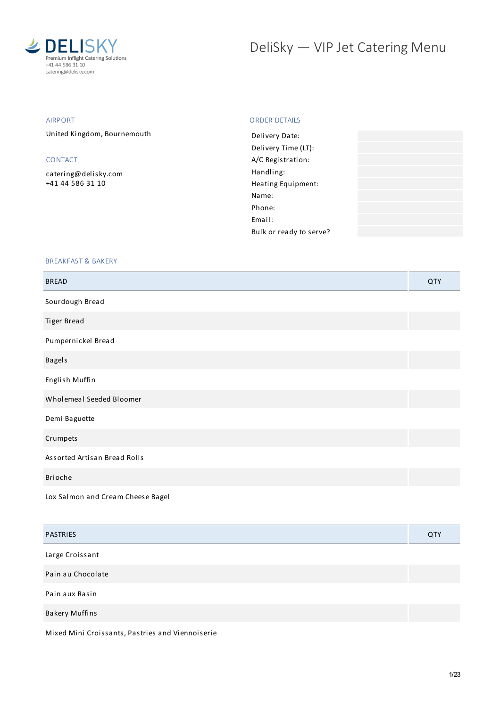

# DeliSky - VIP Jet Catering Menu

# AIRPORT

United Kingdom, Bournemouth

# CONTACT

[catering@delisky.com](mailto:catering@delisky.com) +41 44 586 31 10

## ORDER DETAILS

| Delivery Date:          |  |
|-------------------------|--|
| Delivery Time (LT):     |  |
| A/C Registration:       |  |
| Handling:               |  |
| Heating Equipment:      |  |
| Name:                   |  |
| Phone:                  |  |
| Fmail:                  |  |
| Bulk or ready to serve? |  |
|                         |  |

## BREAKFAST & BAKERY

| <b>BREAD</b>                      | QTY |
|-----------------------------------|-----|
| Sourdough Bread                   |     |
| Tiger Bread                       |     |
| Pumpernickel Bread                |     |
| <b>Bagels</b>                     |     |
| English Muffin                    |     |
| Wholemeal Seeded Bloomer          |     |
| Demi Baguette                     |     |
| Crumpets                          |     |
| Assorted Artisan Bread Rolls      |     |
| Brioche                           |     |
| Lox Salmon and Cream Cheese Bagel |     |

| <b>PASTRIES</b>       | QTY |
|-----------------------|-----|
| Large Croissant       |     |
| Pain au Chocolate     |     |
| Pain aux Rasin        |     |
| <b>Bakery Muffins</b> |     |
|                       |     |

Mixed Mini Croissants, Pastries and Viennoiserie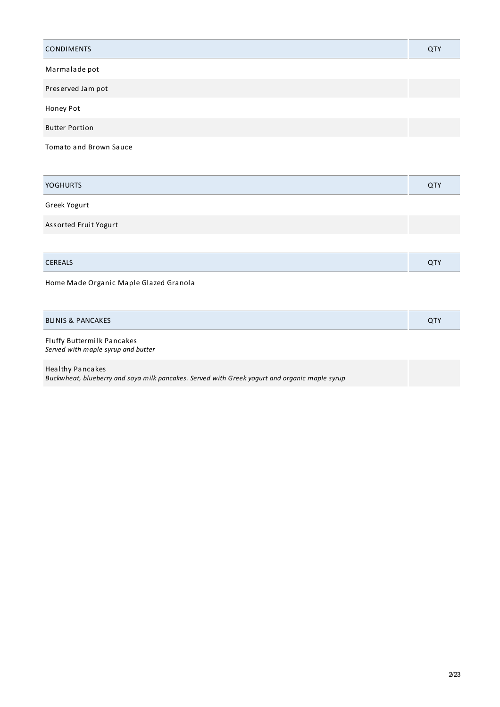| <b>CONDIMENTS</b>             | QTY |
|-------------------------------|-----|
| Marmalade pot                 |     |
| Preserved Jam pot             |     |
| Honey Pot                     |     |
| <b>Butter Portion</b>         |     |
| <b>Tomato and Brown Sauce</b> |     |

| <b>YOGHURTS</b>       | QTY |
|-----------------------|-----|
| Greek Yogurt          |     |
| Assorted Fruit Yogurt |     |
|                       |     |

| C F R L L |  |
|-----------|--|
|           |  |

Home Made Organic Maple Glazed Granola

| <b>BLINIS &amp; PANCAKES</b> | $\sim$ Ty<br>u i |
|------------------------------|------------------|
|------------------------------|------------------|

Fluffy Buttermilk Pancakes *Served with maple syrup and butter*

Healthy Pancakes *Buckwheat, blueberry and soya milk pancakes. Served with Greek yogurt and organic maple syrup*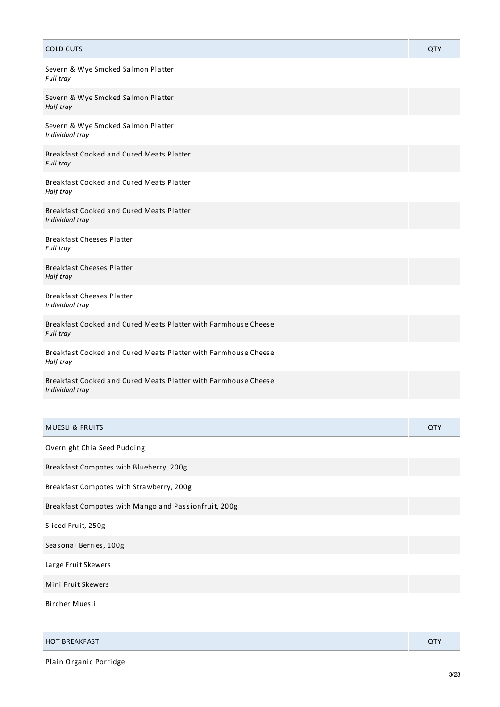| <b>COLD CUTS</b>                                                                  | QTY |
|-----------------------------------------------------------------------------------|-----|
| Severn & Wye Smoked Salmon Platter<br>Full tray                                   |     |
| Severn & Wye Smoked Salmon Platter<br>Half tray                                   |     |
| Severn & Wye Smoked Salmon Platter<br>Individual tray                             |     |
| Breakfast Cooked and Cured Meats Platter<br>Full tray                             |     |
| Breakfast Cooked and Cured Meats Platter<br>Half tray                             |     |
| Breakfast Cooked and Cured Meats Platter<br>Individual tray                       |     |
| <b>Breakfast Cheeses Platter</b><br>Full tray                                     |     |
| <b>Breakfast Cheeses Platter</b><br>Half tray                                     |     |
| <b>Breakfast Cheeses Platter</b><br>Individual tray                               |     |
| Breakfast Cooked and Cured Meats Platter with Farmhouse Cheese<br>Full tray       |     |
| Breakfast Cooked and Cured Meats Platter with Farmhouse Cheese<br>Half tray       |     |
| Breakfast Cooked and Cured Meats Platter with Farmhouse Cheese<br>Individual tray |     |
|                                                                                   |     |
| <b>MUESLI &amp; FRUITS</b>                                                        | QTY |
| Overnight Chia Seed Pudding                                                       |     |
| Breakfast Compotes with Blueberry, 200g                                           |     |
| Breakfast Compotes with Strawberry, 200g                                          |     |
| Breakfast Compotes with Mango and Passionfruit, 200g                              |     |
| Sliced Fruit, 250g                                                                |     |
| Seasonal Berries, 100g                                                            |     |
| Large Fruit Skewers                                                               |     |
| Mini Fruit Skewers                                                                |     |
| Bircher Muesli                                                                    |     |

| <b>HOT BREAKFAST</b> |
|----------------------|
|----------------------|

Plain Organic Porridge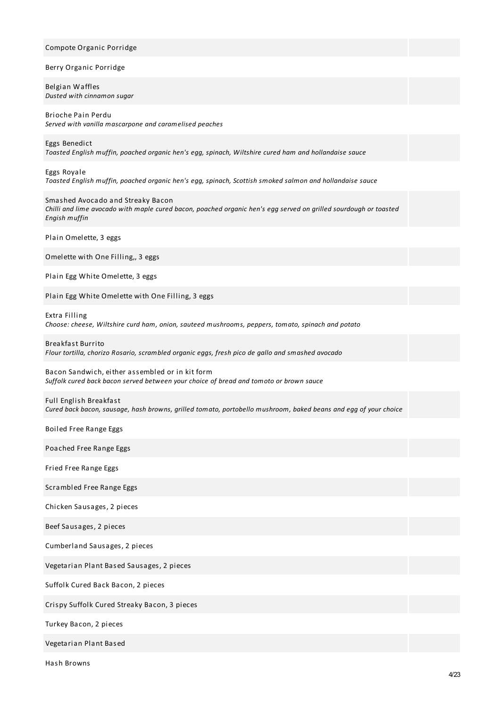# Compote Organic Porridge Berry Organic Porridge Belgian Waffles *Dusted with cinnamon sugar* Brioche Pain Perdu *Served with vanilla mascarpone and caramelised peaches* Eggs Benedict *Toasted English muffin, poached organic hen's egg, spinach, Wiltshire cured ham and hollandaise sauce* Eggs Royale *Toasted English muffin, poached organic hen's egg, spinach, Scottish smoked salmon and hollandaise sauce* Smashed Avocado and Streaky Bacon Chilli and lime avocado with maple cured bacon, poached organic hen's egg served on grilled sourdough or toasted *Engish muffin* Plain Omelette, 3 eggs Omelette with One Filling,, 3 eggs Plain Egg White Omelette, 3 eggs Plain Egg White Omelette with One Filling, 3 eggs Extra Filling *Choose: cheese, Wiltshire curd ham, onion, sauteed mushrooms, peppers, tomato, spinach and potato* Breakfast Burrito *Flour tortilla, chorizo Rosario, scrambled organic eggs, fresh pico de gallo and smashed avocado* Bacon Sandwich, either assembled or in kit form *Suffolk cured back bacon served between your choice of bread and tomoto or brown sauce* Full English Breakfast Cured back bacon, sausage, hash browns, grilled tomato, portobello mushroom, baked beans and egg of your choice Boiled Free Range Eggs Poached Free Range Eggs Fried Free Range Eggs Scrambled Free Range Eggs Chicken Sausages, 2 pieces Beef Sausages, 2 pieces Cumberland Sausages, 2 pieces Vegetarian Plant Based Sausages, 2 pieces Suffolk Cured Back Bacon, 2 pieces Crispy Suffolk Cured Streaky Bacon, 3 pieces Turkey Bacon, 2 pieces Vegetarian Plant Based

Hash Browns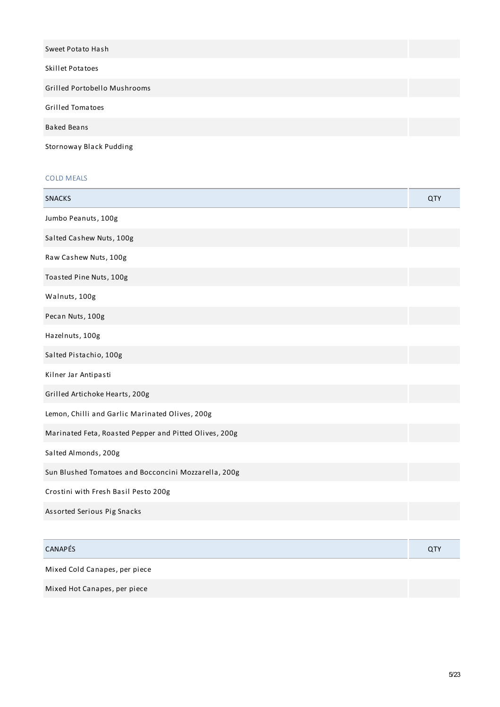| Sweet Potato Hash            |  |
|------------------------------|--|
| <b>Skillet Potatoes</b>      |  |
| Grilled Portobello Mushrooms |  |
| <b>Grilled Tomatoes</b>      |  |
| <b>Baked Beans</b>           |  |

Stornoway Black Pudding

# COLD MEALS

| <b>SNACKS</b>                                          | QTY        |
|--------------------------------------------------------|------------|
| Jumbo Peanuts, 100g                                    |            |
| Salted Cashew Nuts, 100g                               |            |
| Raw Cashew Nuts, 100g                                  |            |
| Toasted Pine Nuts, 100g                                |            |
| Walnuts, 100g                                          |            |
| Pecan Nuts, 100g                                       |            |
| Hazelnuts, 100g                                        |            |
| Salted Pistachio, 100g                                 |            |
| Kilner Jar Antipasti                                   |            |
| Grilled Artichoke Hearts, 200g                         |            |
| Lemon, Chilli and Garlic Marinated Olives, 200g        |            |
| Marinated Feta, Roasted Pepper and Pitted Olives, 200g |            |
| Salted Almonds, 200g                                   |            |
| Sun Blushed Tomatoes and Bocconcini Mozzarella, 200g   |            |
| Crostini with Fresh Basil Pesto 200g                   |            |
| Assorted Serious Pig Snacks                            |            |
|                                                        |            |
| CANAPÉS                                                | <b>QTY</b> |
| Mixed Cold Canapes, per piece                          |            |
| Mixed Hot Canapes, per piece                           |            |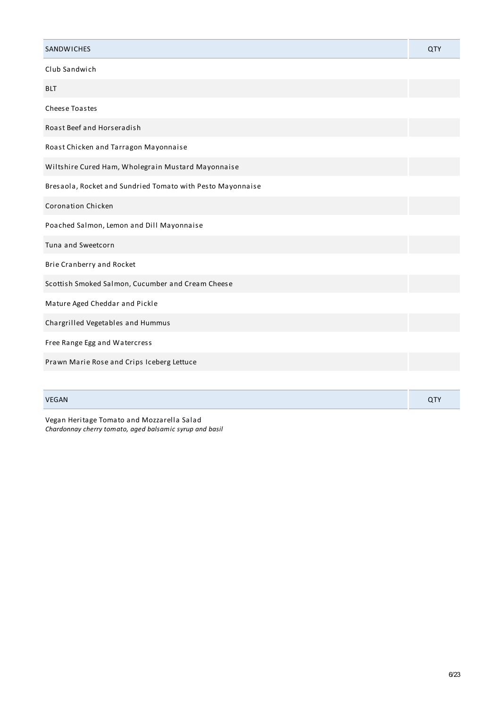| <b>SANDWICHES</b>                                          | QTY |
|------------------------------------------------------------|-----|
| Club Sandwich                                              |     |
| <b>BLT</b>                                                 |     |
| <b>Cheese Toastes</b>                                      |     |
| Roast Beef and Horseradish                                 |     |
| Roast Chicken and Tarragon Mayonnaise                      |     |
| Wiltshire Cured Ham, Wholegrain Mustard Mayonnaise         |     |
| Bresaola, Rocket and Sundried Tomato with Pesto Mayonnaise |     |
| <b>Coronation Chicken</b>                                  |     |
| Poached Salmon, Lemon and Dill Mayonnaise                  |     |
| Tuna and Sweetcorn                                         |     |
| Brie Cranberry and Rocket                                  |     |
| Scottish Smoked Salmon, Cucumber and Cream Cheese          |     |
| Mature Aged Cheddar and Pickle                             |     |
| Chargrilled Vegetables and Hummus                          |     |
| Free Range Egg and Watercress                              |     |
| Prawn Marie Rose and Crips Iceberg Lettuce                 |     |
|                                                            |     |
| <b>VEGAN</b>                                               | QTY |

Vegan Heritage Tomato and Mozzarella Salad *Chardonnay cherry tomato, aged balsamic syrup and basil*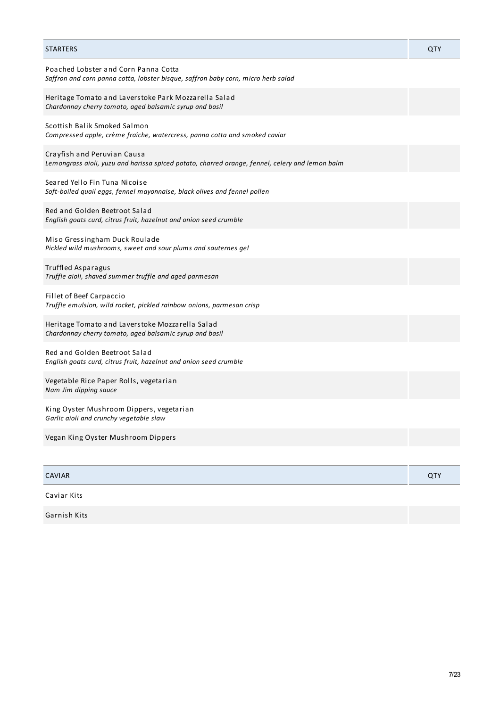| <b>STARTERS</b>                                                                                                                | QTY |
|--------------------------------------------------------------------------------------------------------------------------------|-----|
| Poached Lobster and Corn Panna Cotta<br>Saffron and corn panna cotta, lobster bisque, saffron baby corn, micro herb salad      |     |
| Heritage Tomato and Laverstoke Park Mozzarella Salad<br>Chardonnay cherry tomato, aged balsamic syrup and basil                |     |
| Scottish Balik Smoked Salmon<br>Compressed apple, crème fraîche, watercress, panna cotta and smoked caviar                     |     |
| Crayfish and Peruvian Causa<br>Lemongrass aioli, yuzu and harissa spiced potato, charred orange, fennel, celery and lemon balm |     |
| Seared Yello Fin Tuna Nicoise<br>Soft-boiled quail eggs, fennel mayonnaise, black olives and fennel pollen                     |     |
| Red and Golden Beetroot Salad<br>English goats curd, citrus fruit, hazelnut and onion seed crumble                             |     |
| Miso Gressingham Duck Roulade<br>Pickled wild mushrooms, sweet and sour plums and sauternes gel                                |     |
| <b>Truffled Asparagus</b><br>Truffle aioli, shaved summer truffle and aged parmesan                                            |     |
| <b>Fillet of Beef Carpaccio</b><br>Truffle emulsion, wild rocket, pickled rainbow onions, parmesan crisp                       |     |
| Heritage Tomato and Laverstoke Mozzarella Salad<br>Chardonnay cherry tomato, aged balsamic syrup and basil                     |     |
| Red and Golden Beetroot Salad<br>English goats curd, citrus fruit, hazelnut and onion seed crumble                             |     |
| Vegetable Rice Paper Rolls, vegetarian<br>Nam Jim dipping sauce                                                                |     |
| King Oyster Mushroom Dippers, vegetarian<br>Garlic aioli and crunchy vegetable slaw                                            |     |
| Vegan King Oyster Mushroom Dippers                                                                                             |     |
|                                                                                                                                |     |
| <b>CAVIAR</b>                                                                                                                  | QTY |
| Caviar Kits                                                                                                                    |     |

Garnish Kits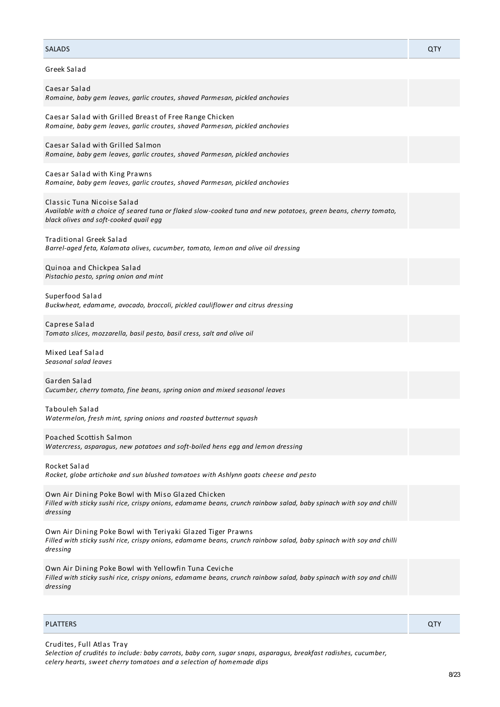| Greek Salad                                                                                                                                                                                   |
|-----------------------------------------------------------------------------------------------------------------------------------------------------------------------------------------------|
| Caesar Salad<br>Romaine, baby gem leaves, garlic croutes, shaved Parmesan, pickled anchovies                                                                                                  |
| Caesar Salad with Grilled Breast of Free Range Chicken<br>Romaine, baby gem leaves, garlic croutes, shaved Parmesan, pickled anchovies                                                        |
| Caesar Salad with Grilled Salmon<br>Romaine, baby gem leaves, garlic croutes, shaved Parmesan, pickled anchovies                                                                              |
| Caesar Salad with King Prawns<br>Romaine, baby gem leaves, garlic croutes, shaved Parmesan, pickled anchovies                                                                                 |
| Classic Tuna Nicoise Salad<br>Available with a choice of seared tuna or flaked slow-cooked tuna and new potatoes, green beans, cherry tomato,<br>black olives and soft-cooked quail egg       |
| <b>Traditional Greek Salad</b><br>Barrel-aged feta, Kalamata olives, cucumber, tomato, lemon and olive oil dressing                                                                           |
| Quinoa and Chickpea Salad<br>Pistachio pesto, spring onion and mint                                                                                                                           |
| Superfood Salad<br>Buckwheat, edamame, avocado, broccoli, pickled cauliflower and citrus dressing                                                                                             |
| Caprese Salad<br>Tomato slices, mozzarella, basil pesto, basil cress, salt and olive oil                                                                                                      |
| Mixed Leaf Salad<br>Seasonal salad leaves                                                                                                                                                     |
| Garden Salad<br>Cucumber, cherry tomato, fine beans, spring onion and mixed seasonal leaves                                                                                                   |
| Tabouleh Salad<br>Watermelon, fresh mint, spring onions and roasted butternut squash                                                                                                          |
| Poached Scottish Salmon<br>Watercress, asparagus, new potatoes and soft-boiled hens egg and lemon dressing                                                                                    |
| Rocket Salad<br>Rocket, globe artichoke and sun blushed tomatoes with Ashlynn goats cheese and pesto                                                                                          |
| Own Air Dining Poke Bowl with Miso Glazed Chicken<br>Filled with sticky sushi rice, crispy onions, edamame beans, crunch rainbow salad, baby spinach with soy and chilli<br>dressing          |
| Own Air Dining Poke Bowl with Teriyaki Glazed Tiger Prawns<br>Filled with sticky sushi rice, crispy onions, edamame beans, crunch rainbow salad, baby spinach with soy and chilli<br>dressing |
| Own Air Dining Poke Bowl with Yellowfin Tuna Ceviche<br>Filled with sticky sushi rice, crispy onions, edamame beans, crunch rainbow salad, baby spinach with soy and chilli<br>dressing       |

SALADS QTY

| <b>PLATTERS</b> | ~ |
|-----------------|---|
|                 |   |

Crudites, Full Atlas Tray *Selection of crudités to include: baby carrots, baby corn, sugar snaps, asparagus, breakfast radishes, cucumber, celery hearts, sweet cherry tomatoes and a selection of homemade dips*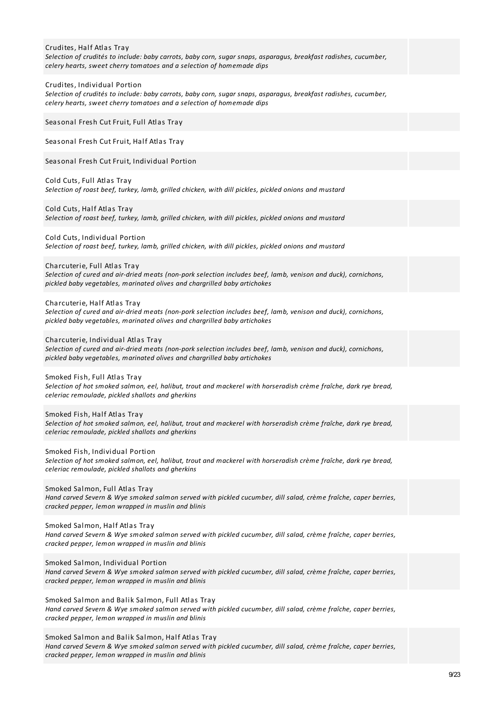| Crudites, Half Atlas Tray<br>Selection of crudités to include: baby carrots, baby corn, sugar snaps, asparagus, breakfast radishes, cucumber,<br>celery hearts, sweet cherry tomatoes and a selection of homemade dips            |  |
|-----------------------------------------------------------------------------------------------------------------------------------------------------------------------------------------------------------------------------------|--|
| Crudites, Individual Portion<br>Selection of crudités to include: baby carrots, baby corn, sugar snaps, asparagus, breakfast radishes, cucumber,<br>celery hearts, sweet cherry tomatoes and a selection of homemade dips         |  |
| Seasonal Fresh Cut Fruit, Full Atlas Tray                                                                                                                                                                                         |  |
| Seasonal Fresh Cut Fruit, Half Atlas Tray                                                                                                                                                                                         |  |
| Seasonal Fresh Cut Fruit, Individual Portion                                                                                                                                                                                      |  |
| Cold Cuts, Full Atlas Tray<br>Selection of roast beef, turkey, lamb, grilled chicken, with dill pickles, pickled onions and mustard                                                                                               |  |
| Cold Cuts, Half Atlas Tray<br>Selection of roast beef, turkey, lamb, grilled chicken, with dill pickles, pickled onions and mustard                                                                                               |  |
| Cold Cuts, Individual Portion<br>Selection of roast beef, turkey, lamb, grilled chicken, with dill pickles, pickled onions and mustard                                                                                            |  |
| Charcuterie, Full Atlas Tray<br>Selection of cured and air-dried meats (non-pork selection includes beef, lamb, venison and duck), cornichons,<br>pickled baby vegetables, marinated olives and chargrilled baby artichokes       |  |
| Charcuterie, Half Atlas Tray<br>Selection of cured and air-dried meats (non-pork selection includes beef, lamb, venison and duck), cornichons,<br>pickled baby vegetables, marinated olives and chargrilled baby artichokes       |  |
| Charcuterie, Individual Atlas Tray<br>Selection of cured and air-dried meats (non-pork selection includes beef, lamb, venison and duck), cornichons,<br>pickled baby vegetables, marinated olives and chargrilled baby artichokes |  |
| Smoked Fish, Full Atlas Tray<br>Selection of hot smoked salmon, eel, halibut, trout and mackerel with horseradish crème fraîche, dark rye bread,<br>celeriac remoulade, pickled shallots and gherkins                             |  |
| Smoked Fish, Half Atlas Tray<br>Selection of hot smoked salmon, eel, halibut, trout and mackerel with horseradish crème fraîche, dark rye bread,<br>celeriac remoulade, pickled shallots and gherkins                             |  |
| Smoked Fish, Individual Portion<br>Selection of hot smoked salmon, eel, halibut, trout and mackerel with horseradish crème fraîche, dark rye bread,<br>celeriac remoulade, pickled shallots and gherkins                          |  |
| Smoked Salmon, Full Atlas Tray<br>Hand carved Severn & Wye smoked salmon served with pickled cucumber, dill salad, crème fraîche, caper berries,<br>cracked pepper, lemon wrapped in muslin and blinis                            |  |
| Smoked Salmon, Half Atlas Tray<br>Hand carved Severn & Wye smoked salmon served with pickled cucumber, dill salad, crème fraîche, caper berries,<br>cracked pepper, lemon wrapped in muslin and blinis                            |  |
| Smoked Salmon, Individual Portion<br>Hand carved Severn & Wye smoked salmon served with pickled cucumber, dill salad, crème fraîche, caper berries,<br>cracked pepper, lemon wrapped in muslin and blinis                         |  |
| Smoked Salmon and Balik Salmon, Full Atlas Tray<br>Hand carved Severn & Wye smoked salmon served with pickled cucumber, dill salad, crème fraîche, caper berries,<br>cracked pepper, lemon wrapped in muslin and blinis           |  |
| Smoked Salmon and Balik Salmon, Half Atlas Tray<br>Hand carved Severn & Wye smoked salmon served with pickled cucumber, dill salad, crème fraîche, caper berries,<br>cracked pepper, lemon wrapped in muslin and blinis           |  |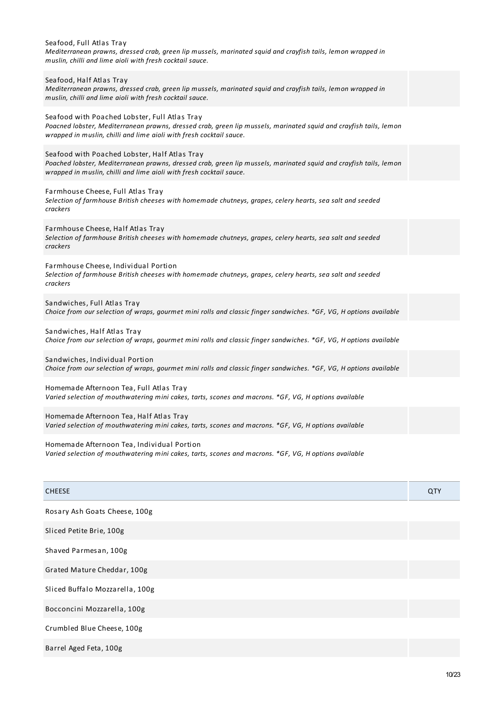| Seafood, Full Atlas Tray<br>Mediterranean prawns, dressed crab, green lip mussels, marinated squid and crayfish tails, lemon wrapped in<br>muslin, chilli and lime aioli with fresh cocktail sauce.                                       |     |
|-------------------------------------------------------------------------------------------------------------------------------------------------------------------------------------------------------------------------------------------|-----|
| Seafood, Half Atlas Tray<br>Mediterranean prawns, dressed crab, green lip mussels, marinated squid and crayfish tails, lemon wrapped in<br>muslin, chilli and lime aioli with fresh cocktail sauce.                                       |     |
| Seafood with Poached Lobster, Full Atlas Tray<br>Poacned lobster, Mediterranean prawns, dressed crab, green lip mussels, marinated squid and crayfish tails, lemon<br>wrapped in muslin, chilli and lime aioli with fresh cocktail sauce. |     |
| Seafood with Poached Lobster, Half Atlas Tray<br>Poached lobster, Mediterranean prawns, dressed crab, green lip mussels, marinated squid and crayfish tails, lemon<br>wrapped in muslin, chilli and lime aioli with fresh cocktail sauce. |     |
| Farmhouse Cheese, Full Atlas Tray<br>Selection of farmhouse British cheeses with homemade chutneys, grapes, celery hearts, sea salt and seeded<br>crackers                                                                                |     |
| Farmhouse Cheese, Half Atlas Tray<br>Selection of farmhouse British cheeses with homemade chutneys, grapes, celery hearts, sea salt and seeded<br>crackers                                                                                |     |
| Farmhouse Cheese, Individual Portion<br>Selection of farmhouse British cheeses with homemade chutneys, grapes, celery hearts, sea salt and seeded<br>crackers                                                                             |     |
| Sandwiches, Full Atlas Tray<br>Choice from our selection of wraps, gourmet mini rolls and classic finger sandwiches. *GF, VG, H options available                                                                                         |     |
| Sandwiches, Half Atlas Tray<br>Choice from our selection of wraps, gourmet mini rolls and classic finger sandwiches. *GF, VG, H options available                                                                                         |     |
| Sandwiches, Individual Portion<br>Choice from our selection of wraps, gourmet mini rolls and classic finger sandwiches. *GF, VG, H options available                                                                                      |     |
| Homemade Afternoon Tea, Full Atlas Tray<br>Varied selection of mouthwatering mini cakes, tarts, scones and macrons. *GF, VG, H options available                                                                                          |     |
| Homemade Afternoon Tea, Half Atlas Tray<br>Varied selection of mouthwatering mini cakes, tarts, scones and macrons. *GF, VG, H options available                                                                                          |     |
| Homemade Afternoon Tea, Individual Portion<br>Varied selection of mouthwatering mini cakes, tarts, scones and macrons. *GF, VG, H options available                                                                                       |     |
| <b>CHEESE</b>                                                                                                                                                                                                                             | QTY |
| Rosary Ash Goats Cheese, 100g                                                                                                                                                                                                             |     |
| Sliced Petite Brie, 100g                                                                                                                                                                                                                  |     |
| Shaved Parmesan, 100g                                                                                                                                                                                                                     |     |
| Grated Mature Cheddar, 100g                                                                                                                                                                                                               |     |
| Sliced Buffalo Mozzarella, 100g                                                                                                                                                                                                           |     |
| Bocconcini Mozzarella, 100g                                                                                                                                                                                                               |     |

Crumbled Blue Cheese, 100g

Barrel Aged Feta, 100g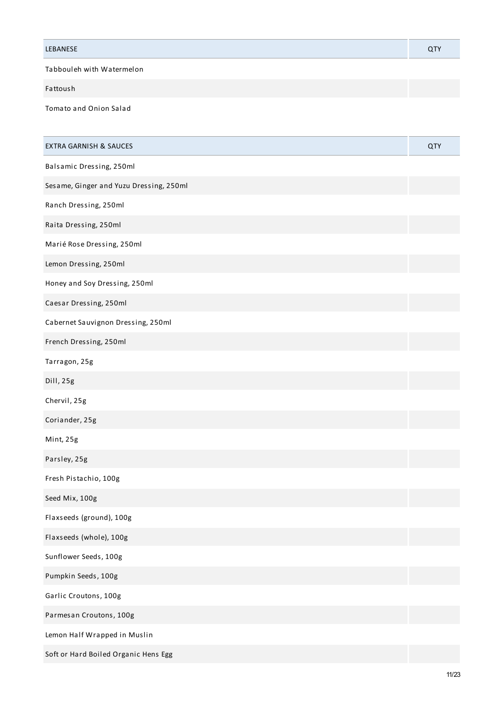| LEBANESE                  |  |
|---------------------------|--|
| Tabbouleh with Watermelon |  |

Fattoush

Tomato and Onion Salad

| <b>EXTRA GARNISH &amp; SAUCES</b>       | QTY |
|-----------------------------------------|-----|
| Balsamic Dressing, 250ml                |     |
| Sesame, Ginger and Yuzu Dressing, 250ml |     |
| Ranch Dressing, 250ml                   |     |
| Raita Dressing, 250ml                   |     |
| Marié Rose Dressing, 250ml              |     |
| Lemon Dressing, 250ml                   |     |
| Honey and Soy Dressing, 250ml           |     |
| Caesar Dressing, 250ml                  |     |
| Cabernet Sauvignon Dressing, 250ml      |     |
| French Dressing, 250ml                  |     |
| Tarragon, 25g                           |     |
| Dill, 25g                               |     |
| Chervil, 25g                            |     |
| Coriander, 25g                          |     |
| Mint, 25g                               |     |
| Parsley, 25g                            |     |
| Fresh Pistachio, 100g                   |     |
| Seed Mix, 100g                          |     |
| Flaxseeds (ground), 100g                |     |
| Flaxseeds (whole), 100g                 |     |
| Sunflower Seeds, 100g                   |     |
| Pumpkin Seeds, 100g                     |     |
| Garlic Croutons, 100g                   |     |
| Parmesan Croutons, 100g                 |     |
| Lemon Half Wrapped in Muslin            |     |
| Soft or Hard Boiled Organic Hens Egg    |     |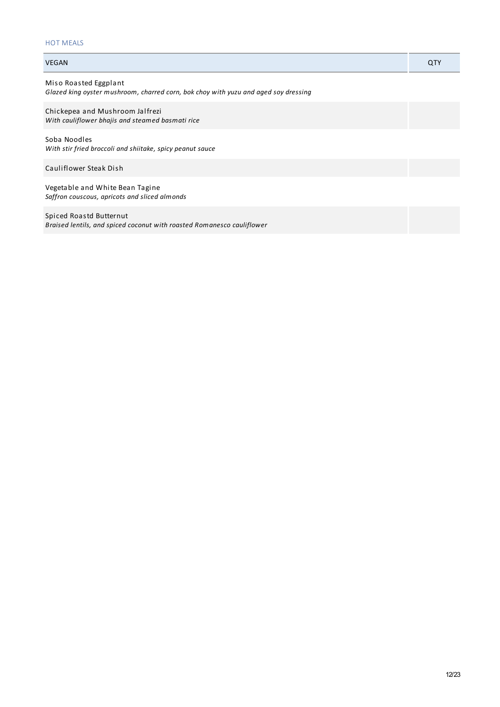## HOT MEALS

| <b>VEGAN</b>                                                                                                 | QTY |
|--------------------------------------------------------------------------------------------------------------|-----|
| Miso Roasted Eggplant<br>Glazed king oyster mushroom, charred corn, bok choy with yuzu and aged soy dressing |     |
| Chickepea and Mushroom Jalfrezi<br>With cauliflower bhajis and steamed basmati rice                          |     |
| Soba Noodles<br>With stir fried broccoli and shiitake, spicy peanut sauce                                    |     |
| Cauliflower Steak Dish                                                                                       |     |
| Vegetable and White Bean Tagine<br>Saffron couscous, apricots and sliced almonds                             |     |
| Spiced Roastd Butternut<br>Braised lentils, and spiced coconut with roasted Romanesco cauliflower            |     |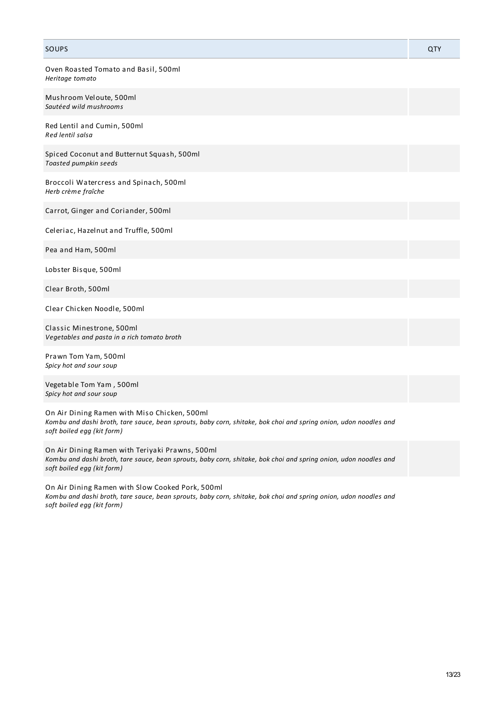### SOUPS And the contract of the contract of the contract of the contract of the contract of the contract of the contract of the contract of the contract of the contract of the contract of the contract of the contract of the

Oven Roasted Tomato and Basil, 500ml *Heritage tomato*

Mushroom Veloute, 500ml *Sautéed wild mushrooms*

Red Lentil and Cumin, 500ml *Red lentil salsa*

Spiced Coconut and Butternut Squash, 500ml *Toasted pumpkin seeds*

Broccoli Watercress and Spinach, 500ml *Herb crème fraîche*

Carrot, Ginger and Coriander, 500ml

Celeriac, Hazelnut and Truffle, 500ml

Pea and Ham, 500ml

Lobster Bisque, 500ml

Clear Broth, 500ml

Clear Chicken Noodle, 500ml

Classic Minestrone, 500ml *Vegetables and pasta in a rich tomato broth*

Prawn Tom Yam, 500ml *Spicy hot and sour soup*

Vegetable Tom Yam , 500ml *Spicy hot and sour soup*

On Air Dining Ramen with Miso Chicken, 500ml Kombu and dashi broth, tare sauce, bean sprouts, baby corn, shitake, bok choi and spring onion, udon noodles and *soft boiled egg (kit form)*

On Air Dining Ramen with Teriyaki Prawns, 500ml Kombu and dashi broth, tare sauce, bean sprouts, baby corn, shitake, bok choi and spring onion, udon noodles and *soft boiled egg (kit form)*

On Air Dining Ramen with Slow Cooked Pork, 500ml Kombu and dashi broth, tare sauce, bean sprouts, baby corn, shitake, bok choi and spring onion, udon noodles and *soft boiled egg (kit form)*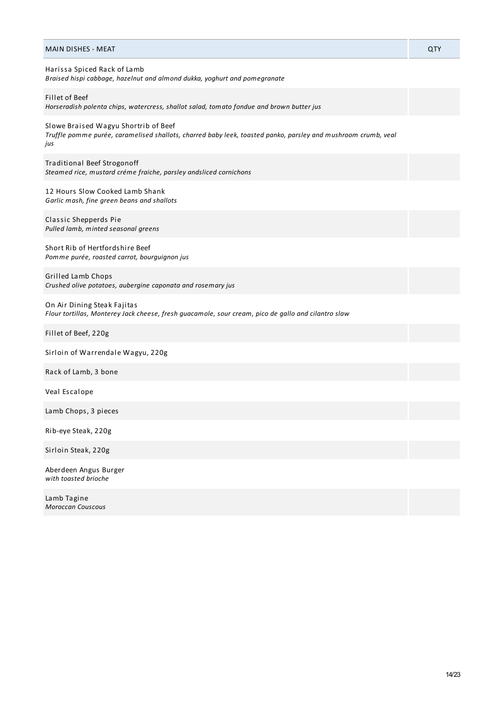| <b>MAIN DISHES - MEAT</b>                                                                                                                                    | QTY |
|--------------------------------------------------------------------------------------------------------------------------------------------------------------|-----|
| Harissa Spiced Rack of Lamb<br>Braised hispi cabbage, hazelnut and almond dukka, yoghurt and pomegranate                                                     |     |
| Fillet of Beef<br>Horseradish polenta chips, watercress, shallot salad, tomato fondue and brown butter jus                                                   |     |
| Slowe Braised Wagyu Shortrib of Beef<br>Truffle pomme purée, caramelised shallots, charred baby leek, toasted panko, parsley and mushroom crumb, veal<br>jus |     |
| Traditional Beef Strogonoff<br>Steamed rice, mustard créme fraiche, parsley andsliced cornichons                                                             |     |
| 12 Hours Slow Cooked Lamb Shank<br>Garlic mash, fine green beans and shallots                                                                                |     |
| Classic Shepperds Pie<br>Pulled lamb, minted seasonal greens                                                                                                 |     |
| Short Rib of Hertfordshire Beef<br>Pomme purée, roasted carrot, bourguignon jus                                                                              |     |
| Grilled Lamb Chops<br>Crushed olive potatoes, aubergine caponata and rosemary jus                                                                            |     |
| On Air Dining Steak Fajitas<br>Flour tortillas, Monterey Jack cheese, fresh guacamole, sour cream, pico de gallo and cilantro slaw                           |     |
| Fillet of Beef, 220g                                                                                                                                         |     |
| Sirloin of Warrendale Wagyu, 220g                                                                                                                            |     |
| Rack of Lamb, 3 bone                                                                                                                                         |     |
| Veal Escalope                                                                                                                                                |     |
| Lamb Chops, 3 pieces                                                                                                                                         |     |
| Rib-eye Steak, 220g                                                                                                                                          |     |
| Sirloin Steak, 220g                                                                                                                                          |     |
| Aberdeen Angus Burger<br>with toasted brioche                                                                                                                |     |
| Lamb Tagine<br><b>Moroccan Couscous</b>                                                                                                                      |     |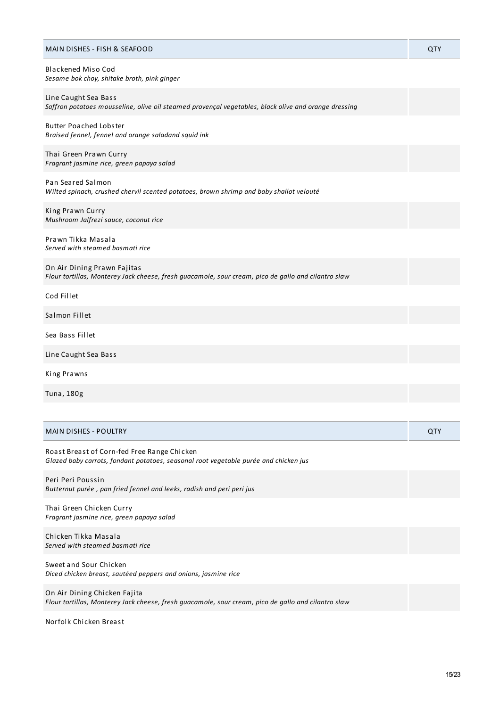#### MAIN DISHES - FISH & SEAFOOD QTY

| <b>Blackened Miso Cod</b>                   |
|---------------------------------------------|
| Sesame bok choy, shitake broth, pink ginger |

Line Caught Sea Bass *Saffron potatoes mousseline, olive oil steamed provençal vegetables, black olive and orange dressing*

Butter Poached Lobster *Braised fennel, fennel and orange saladand squid ink*

Thai Green Prawn Curry *Fragrant jasmine rice, green papaya salad*

Pan Seared Salmon *Wilted spinach, crushed chervil scented potatoes, brown shrimp and baby shallot velouté*

King Prawn Curry *Mushroom Jalfrezi sauce, coconut rice*

Prawn Tikka Masala *Served with steamed basmati rice*

| On Air Dining Prawn Fajitas                                                                         |  |
|-----------------------------------------------------------------------------------------------------|--|
| Flour tortillas, Monterey Jack cheese, fresh quacamole, sour cream, pico de gallo and cilantro slaw |  |

Cod Fillet

Salmon Fillet

Sea Bass Fillet

Line Caught Sea Bass

King Prawns

Tuna, 180g

| <b>MAIN DISHES - POULTRY</b> | <b>OTV</b><br>u. |
|------------------------------|------------------|
|------------------------------|------------------|

Roast Breast of Corn-fed Free Range Chicken *Glazed baby carrots, fondant potatoes, seasonal root vegetable purée and chicken jus*

Peri Peri Poussin *Butternut purée , pan fried fennel and leeks, radish and peri peri jus*

Thai Green Chicken Curry *Fragrant jasmine rice, green papaya salad*

Chicken Tikka Masala *Served with steamed basmati rice*

Sweet and Sour Chicken *Diced chicken breast, sautéed peppers and onions, jasmine rice*

On Air Dining Chicken Fajita *Flour tortillas, Monterey Jack cheese, fresh guacamole, sour cream, pico de gallo and cilantro slaw*

Norfolk Chicken Breast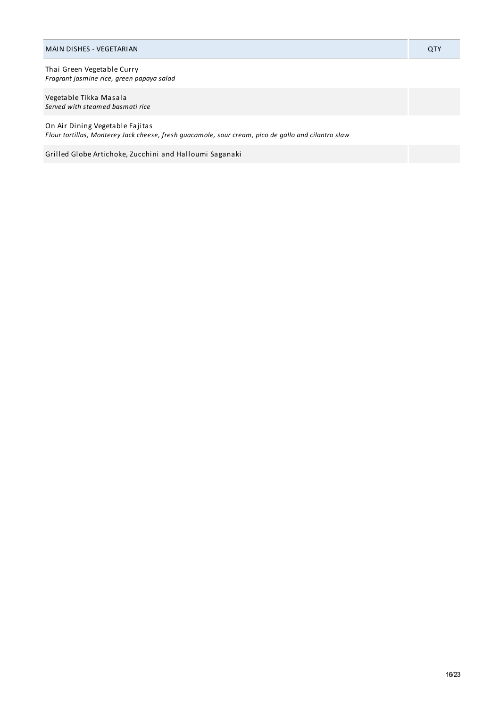#### MAIN DISHES - VEGETARIAN QTY

Thai Green Vegetable Curry *Fragrant jasmine rice, green papaya salad*

Vegetable Tikka Masala *Served with steamed basmati rice*

On Air Dining Vegetable Fajitas *Flour tortillas, Monterey Jack cheese, fresh guacamole, sour cream, pico de gallo and cilantro slaw*

Grilled Globe Artichoke, Zucchini and Halloumi Saganaki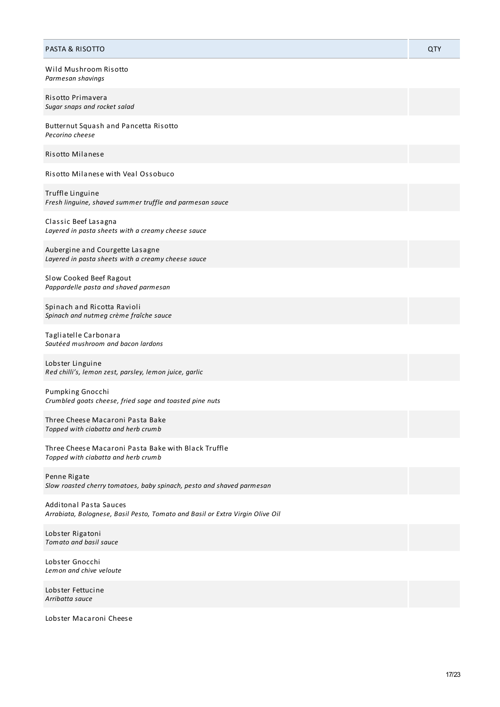| <b>PASTA &amp; RISOTTO</b>                                                                                     | QTY |
|----------------------------------------------------------------------------------------------------------------|-----|
| Wild Mushroom Risotto<br>Parmesan shavings                                                                     |     |
| Risotto Primavera<br>Sugar snaps and rocket salad                                                              |     |
| Butternut Squash and Pancetta Risotto<br>Pecorino cheese                                                       |     |
| Risotto Milanese                                                                                               |     |
| Risotto Milanese with Veal Ossobuco                                                                            |     |
| Truffle Linguine<br>Fresh linguine, shaved summer truffle and parmesan sauce                                   |     |
| Classic Beef Lasagna<br>Layered in pasta sheets with a creamy cheese sauce                                     |     |
| Aubergine and Courgette Lasagne<br>Layered in pasta sheets with a creamy cheese sauce                          |     |
| Slow Cooked Beef Ragout<br>Pappardelle pasta and shaved parmesan                                               |     |
| Spinach and Ricotta Ravioli<br>Spinach and nutmeg crème fraîche sauce                                          |     |
| Tagliatelle Carbonara<br>Sautéed mushroom and bacon lardons                                                    |     |
| Lobster Linguine<br>Red chilli's, lemon zest, parsley, lemon juice, garlic                                     |     |
| Pumpking Gnocchi<br>Crumbled goats cheese, fried sage and toasted pine nuts                                    |     |
| Three Cheese Macaroni Pasta Bake<br>Topped with ciabatta and herb crumb                                        |     |
| Three Cheese Macaroni Pasta Bake with Black Truffle<br>Topped with ciabatta and herb crumb                     |     |
| Penne Rigate<br>Slow roasted cherry tomatoes, baby spinach, pesto and shaved parmesan                          |     |
| <b>Additonal Pasta Sauces</b><br>Arrabiata, Bolognese, Basil Pesto, Tomato and Basil or Extra Virgin Olive Oil |     |
| Lobster Rigatoni<br>Tomato and basil sauce                                                                     |     |

Lobster Gnocchi *Lemon and chive veloute*

Lobster Fettucine *Arribatta sauce*

Lobster Macaroni Cheese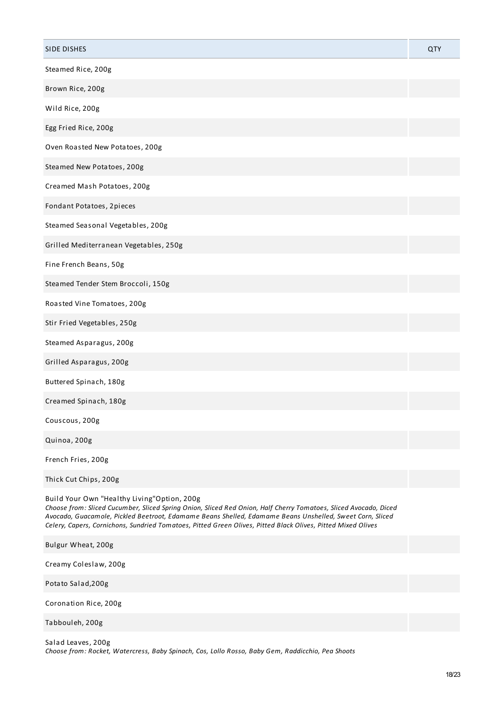| Steamed Rice, 200g<br>Brown Rice, 200g<br>Wild Rice, 200g<br>Egg Fried Rice, 200g<br>Oven Roasted New Potatoes, 200g<br>Steamed New Potatoes, 200g<br>Creamed Mash Potatoes, 200g<br>Fondant Potatoes, 2pieces<br>Steamed Seasonal Vegetables, 200g<br>Grilled Mediterranean Vegetables, 250g<br>Fine French Beans, 50g<br>Steamed Tender Stem Broccoli, 150g<br>Roasted Vine Tomatoes, 200g<br>Stir Fried Vegetables, 250g<br>Steamed Asparagus, 200g<br>Grilled Asparagus, 200g<br>Buttered Spinach, 180g<br>Creamed Spinach, 180g<br>Couscous, 200g<br>Quinoa, 200g<br>French Fries, 200g<br>Thick Cut Chips, 200g<br>Build Your Own "Healthy Living"Option, 200g<br>Choose from: Sliced Cucumber, Sliced Spring Onion, Sliced Red Onion, Half Cherry Tomatoes, Sliced Avocado, Diced<br>Avocado, Guacamole, Pickled Beetroot, Edamame Beans Shelled, Edamame Beans Unshelled, Sweet Corn, Sliced<br>Celery, Capers, Cornichons, Sundried Tomatoes, Pitted Green Olives, Pitted Black Olives, Pitted Mixed Olives<br>Bulgur Wheat, 200g<br>Creamy Coleslaw, 200g<br>Potato Salad, 200g<br>Coronation Rice, 200g | SIDE DISHES | QTY |
|--------------------------------------------------------------------------------------------------------------------------------------------------------------------------------------------------------------------------------------------------------------------------------------------------------------------------------------------------------------------------------------------------------------------------------------------------------------------------------------------------------------------------------------------------------------------------------------------------------------------------------------------------------------------------------------------------------------------------------------------------------------------------------------------------------------------------------------------------------------------------------------------------------------------------------------------------------------------------------------------------------------------------------------------------------------------------------------------------------------------|-------------|-----|
|                                                                                                                                                                                                                                                                                                                                                                                                                                                                                                                                                                                                                                                                                                                                                                                                                                                                                                                                                                                                                                                                                                                    |             |     |
|                                                                                                                                                                                                                                                                                                                                                                                                                                                                                                                                                                                                                                                                                                                                                                                                                                                                                                                                                                                                                                                                                                                    |             |     |
|                                                                                                                                                                                                                                                                                                                                                                                                                                                                                                                                                                                                                                                                                                                                                                                                                                                                                                                                                                                                                                                                                                                    |             |     |
|                                                                                                                                                                                                                                                                                                                                                                                                                                                                                                                                                                                                                                                                                                                                                                                                                                                                                                                                                                                                                                                                                                                    |             |     |
|                                                                                                                                                                                                                                                                                                                                                                                                                                                                                                                                                                                                                                                                                                                                                                                                                                                                                                                                                                                                                                                                                                                    |             |     |
|                                                                                                                                                                                                                                                                                                                                                                                                                                                                                                                                                                                                                                                                                                                                                                                                                                                                                                                                                                                                                                                                                                                    |             |     |
|                                                                                                                                                                                                                                                                                                                                                                                                                                                                                                                                                                                                                                                                                                                                                                                                                                                                                                                                                                                                                                                                                                                    |             |     |
|                                                                                                                                                                                                                                                                                                                                                                                                                                                                                                                                                                                                                                                                                                                                                                                                                                                                                                                                                                                                                                                                                                                    |             |     |
|                                                                                                                                                                                                                                                                                                                                                                                                                                                                                                                                                                                                                                                                                                                                                                                                                                                                                                                                                                                                                                                                                                                    |             |     |
|                                                                                                                                                                                                                                                                                                                                                                                                                                                                                                                                                                                                                                                                                                                                                                                                                                                                                                                                                                                                                                                                                                                    |             |     |
|                                                                                                                                                                                                                                                                                                                                                                                                                                                                                                                                                                                                                                                                                                                                                                                                                                                                                                                                                                                                                                                                                                                    |             |     |
|                                                                                                                                                                                                                                                                                                                                                                                                                                                                                                                                                                                                                                                                                                                                                                                                                                                                                                                                                                                                                                                                                                                    |             |     |
|                                                                                                                                                                                                                                                                                                                                                                                                                                                                                                                                                                                                                                                                                                                                                                                                                                                                                                                                                                                                                                                                                                                    |             |     |
|                                                                                                                                                                                                                                                                                                                                                                                                                                                                                                                                                                                                                                                                                                                                                                                                                                                                                                                                                                                                                                                                                                                    |             |     |
|                                                                                                                                                                                                                                                                                                                                                                                                                                                                                                                                                                                                                                                                                                                                                                                                                                                                                                                                                                                                                                                                                                                    |             |     |
|                                                                                                                                                                                                                                                                                                                                                                                                                                                                                                                                                                                                                                                                                                                                                                                                                                                                                                                                                                                                                                                                                                                    |             |     |
|                                                                                                                                                                                                                                                                                                                                                                                                                                                                                                                                                                                                                                                                                                                                                                                                                                                                                                                                                                                                                                                                                                                    |             |     |
|                                                                                                                                                                                                                                                                                                                                                                                                                                                                                                                                                                                                                                                                                                                                                                                                                                                                                                                                                                                                                                                                                                                    |             |     |
|                                                                                                                                                                                                                                                                                                                                                                                                                                                                                                                                                                                                                                                                                                                                                                                                                                                                                                                                                                                                                                                                                                                    |             |     |
|                                                                                                                                                                                                                                                                                                                                                                                                                                                                                                                                                                                                                                                                                                                                                                                                                                                                                                                                                                                                                                                                                                                    |             |     |
|                                                                                                                                                                                                                                                                                                                                                                                                                                                                                                                                                                                                                                                                                                                                                                                                                                                                                                                                                                                                                                                                                                                    |             |     |
|                                                                                                                                                                                                                                                                                                                                                                                                                                                                                                                                                                                                                                                                                                                                                                                                                                                                                                                                                                                                                                                                                                                    |             |     |
|                                                                                                                                                                                                                                                                                                                                                                                                                                                                                                                                                                                                                                                                                                                                                                                                                                                                                                                                                                                                                                                                                                                    |             |     |
|                                                                                                                                                                                                                                                                                                                                                                                                                                                                                                                                                                                                                                                                                                                                                                                                                                                                                                                                                                                                                                                                                                                    |             |     |
|                                                                                                                                                                                                                                                                                                                                                                                                                                                                                                                                                                                                                                                                                                                                                                                                                                                                                                                                                                                                                                                                                                                    |             |     |
|                                                                                                                                                                                                                                                                                                                                                                                                                                                                                                                                                                                                                                                                                                                                                                                                                                                                                                                                                                                                                                                                                                                    |             |     |
|                                                                                                                                                                                                                                                                                                                                                                                                                                                                                                                                                                                                                                                                                                                                                                                                                                                                                                                                                                                                                                                                                                                    |             |     |
| Tabbouleh, 200g                                                                                                                                                                                                                                                                                                                                                                                                                                                                                                                                                                                                                                                                                                                                                                                                                                                                                                                                                                                                                                                                                                    |             |     |

Salad Leaves, 200g *Choose from: Rocket, Watercress, Baby Spinach, Cos, Lollo Rosso, Baby Gem, Raddicchio, Pea Shoots*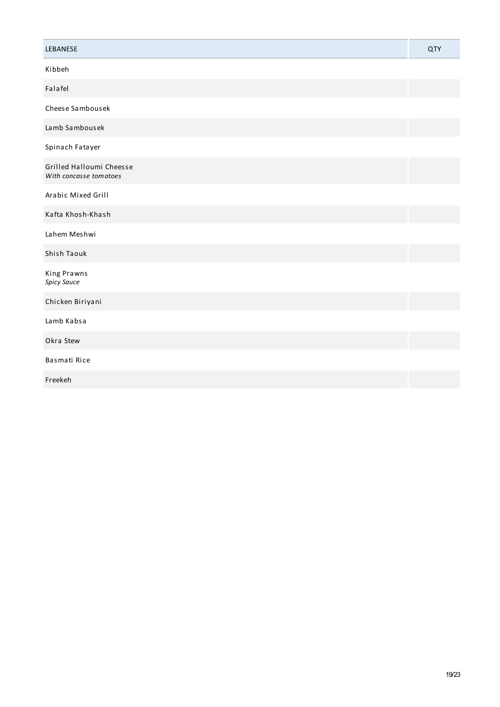| LEBANESE                                           | <b>QTY</b> |
|----------------------------------------------------|------------|
| Kibbeh                                             |            |
| Falafel                                            |            |
| Cheese Sambousek                                   |            |
| Lamb Sambousek                                     |            |
| Spinach Fatayer                                    |            |
| Grilled Halloumi Cheesse<br>With concasse tomatoes |            |
| Arabic Mixed Grill                                 |            |
| Kafta Khosh-Khash                                  |            |
| Lahem Meshwi                                       |            |
| Shish Taouk                                        |            |
| <b>King Prawns</b><br>Spicy Sauce                  |            |
| Chicken Biriyani                                   |            |
| Lamb Kabsa                                         |            |
| Okra Stew                                          |            |
| Basmati Rice                                       |            |
| Freekeh                                            |            |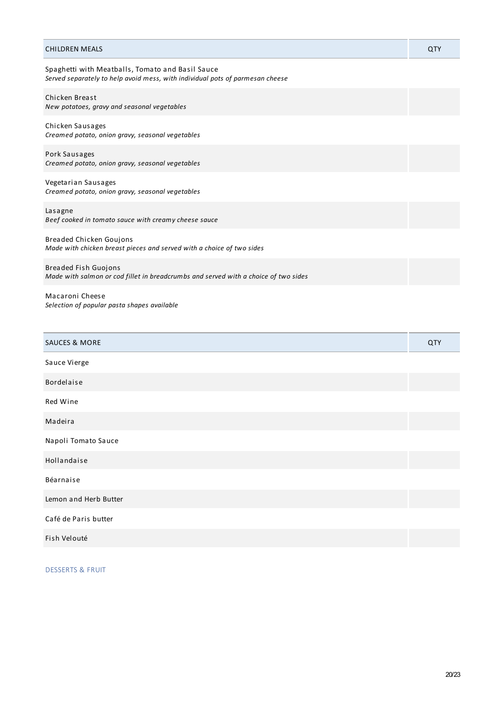| CHILDREN MEALS                                                                                                                    | QTY |
|-----------------------------------------------------------------------------------------------------------------------------------|-----|
| Spaghetti with Meatballs, Tomato and Basil Sauce<br>Served separately to help avoid mess, with individual pots of parmesan cheese |     |
| Chicken Breast<br>New potatoes, gravy and seasonal vegetables                                                                     |     |
| Chicken Sausages<br>Creamed potato, onion gravy, seasonal vegetables                                                              |     |
| Pork Sausages<br>Creamed potato, onion gravy, seasonal vegetables                                                                 |     |
| Vegetarian Sausages<br>Creamed potato, onion gravy, seasonal vegetables                                                           |     |
| Lasagne<br>Beef cooked in tomato sauce with creamy cheese sauce                                                                   |     |
| Breaded Chicken Goujons<br>Made with chicken breast pieces and served with a choice of two sides                                  |     |
| Breaded Fish Guojons<br>Made with salmon or cod fillet in breadcrumbs and served with a choice of two sides                       |     |
| Macaroni Cheese<br>Selection of popular pasta shapes available                                                                    |     |
| SAUCES & MORE                                                                                                                     | QTY |
| Sauce Vierge                                                                                                                      |     |
| Bordelaise                                                                                                                        |     |
| Red Wine                                                                                                                          |     |
| Madeira                                                                                                                           |     |
| Napoli Tomato Sauce                                                                                                               |     |
| Hollandaise                                                                                                                       |     |
|                                                                                                                                   |     |

Béarnaise

Lemon and Herb Butter

Café de Paris butter

Fish Velouté

DESSERTS & FRUIT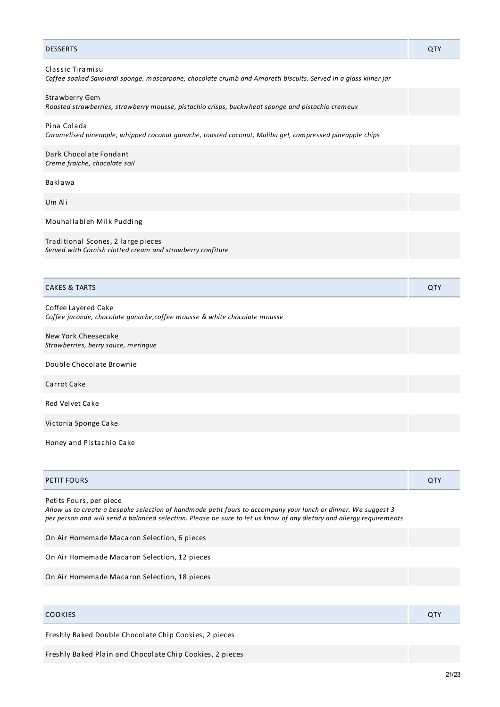| <b>DESSERTS</b>                                                                                                                     | QTY |
|-------------------------------------------------------------------------------------------------------------------------------------|-----|
| Classic Tiramisu<br>Coffee soaked Savoiardi sponge, mascarpone, chocolate crumb and Amoretti biscuits. Served in a glass kilner jar |     |
| Strawberry Gem<br>Roasted strawberries, strawberry mousse, pistachio crisps, buckwheat sponge and pistachio cremeux                 |     |
| Pina Colada<br>Caramelised pineapple, whipped coconut ganache, toasted coconut, Malibu gel, compressed pineapple chips              |     |
| Dark Chocolate Fondant<br>Creme fraiche, chocolate soil                                                                             |     |
| Baklawa                                                                                                                             |     |
| Um Ali                                                                                                                              |     |
| Mouhallabieh Milk Pudding                                                                                                           |     |
| Traditional Scones, 2 large pieces<br>Served with Cornish clotted cream and strawberry confiture                                    |     |
|                                                                                                                                     |     |
| <b>CAKES &amp; TARTS</b>                                                                                                            | QTY |
| Coffee Layered Cake<br>Coffee jaconde, chocolate ganache, coffee mousse & white chocolate mousse                                    |     |
| New York Cheesecake<br>Strawberries, berry sauce, meringue                                                                          |     |
| Double Chocolate Brownie                                                                                                            |     |
| Carrot Cake                                                                                                                         |     |
| <b>Red Velvet Cake</b>                                                                                                              |     |
| Victoria Sponge Cake                                                                                                                |     |
| Honey and Pistachio Cake                                                                                                            |     |

| <b>PETIT FOURS</b> |  |
|--------------------|--|
|                    |  |

Petits Fours, per piece

Allow us to create a bespoke selection of handmade petit fours to accompany your lunch or dinner. We suggest 3 per person and will send a balanced selection. Please be sure to let us know of any dietary and allergy requirements.

On Air Homemade Macaron Selection, 6 pieces On Air Homemade Macaron Selection, 12 pieces On Air Homemade Macaron Selection, 18 pieces

| <b>COOKIES</b> | $\tau$ |
|----------------|--------|
|                |        |

Freshly Baked Double Chocolate Chip Cookies, 2 pieces

Freshly Baked Plain and Chocolate Chip Cookies, 2 pieces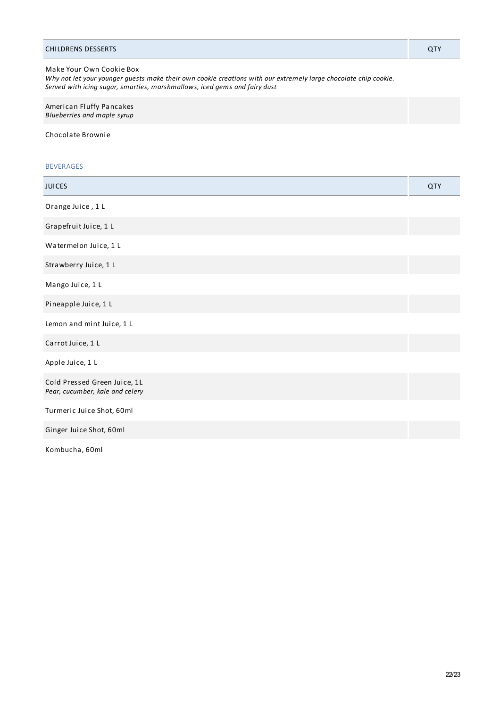| Make Your Own Cookie Box<br>Why not let your younger guests make their own cookie creations with our extremely large chocolate chip cookie.<br>Served with icing sugar, smarties, marshmallows, iced gems and fairy dust |     |
|--------------------------------------------------------------------------------------------------------------------------------------------------------------------------------------------------------------------------|-----|
| American Fluffy Pancakes<br>Blueberries and maple syrup                                                                                                                                                                  |     |
| Chocolate Brownie                                                                                                                                                                                                        |     |
| <b>BEVERAGES</b>                                                                                                                                                                                                         |     |
| <b>JUICES</b>                                                                                                                                                                                                            | QTY |
| Orange Juice, 1 L                                                                                                                                                                                                        |     |
| Grapefruit Juice, 1 L                                                                                                                                                                                                    |     |
| Watermelon Juice, 1 L                                                                                                                                                                                                    |     |
| Strawberry Juice, 1 L                                                                                                                                                                                                    |     |
| Mango Juice, 1 L                                                                                                                                                                                                         |     |
| Pineapple Juice, 1 L                                                                                                                                                                                                     |     |

CHILDRENS DESSERTS QTY

Lemon and mint Juice, 1 L

Carrot Juice, 1 L

Apple Juice, 1 L

Cold Pressed Green Juice, 1L *Pear, cucumber, kale and celery*

Turmeric Juice Shot, 60ml

Ginger Juice Shot, 60ml

Kombucha, 60ml